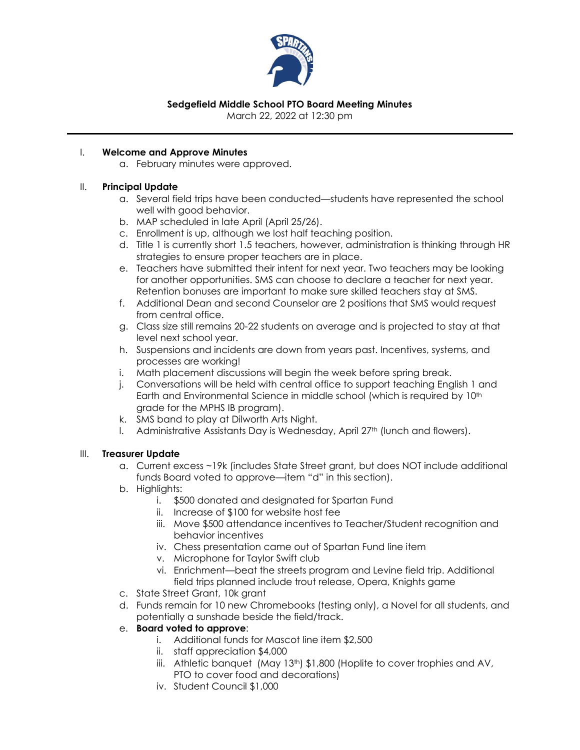

# **Sedgefield Middle School PTO Board Meeting Minutes**

March 22, 2022 at 12:30 pm

### I. **Welcome and Approve Minutes**

a. February minutes were approved.

### II. **Principal Update**

- a. Several field trips have been conducted—students have represented the school well with good behavior.
- b. MAP scheduled in late April (April 25/26).
- c. Enrollment is up, although we lost half teaching position.
- d. Title 1 is currently short 1.5 teachers, however, administration is thinking through HR strategies to ensure proper teachers are in place.
- e. Teachers have submitted their intent for next year. Two teachers may be looking for another opportunities. SMS can choose to declare a teacher for next year. Retention bonuses are important to make sure skilled teachers stay at SMS.
- f. Additional Dean and second Counselor are 2 positions that SMS would request from central office.
- g. Class size still remains 20-22 students on average and is projected to stay at that level next school year.
- h. Suspensions and incidents are down from years past. Incentives, systems, and processes are working!
- i. Math placement discussions will begin the week before spring break.
- j. Conversations will be held with central office to support teaching English 1 and Earth and Environmental Science in middle school (which is required by 10<sup>th</sup> grade for the MPHS IB program).
- k. SMS band to play at Dilworth Arts Night.
- l. Administrative Assistants Day is Wednesday, April 27th (lunch and flowers).

### III. **Treasurer Update**

- a. Current excess ~19k (includes State Street grant, but does NOT include additional funds Board voted to approve—item "d" in this section).
- b. Highlights:
	- i. \$500 donated and designated for Spartan Fund
	- ii. Increase of \$100 for website host fee
	- iii. Move \$500 attendance incentives to Teacher/Student recognition and behavior incentives
	- iv. Chess presentation came out of Spartan Fund line item
	- v. Microphone for Taylor Swift club
	- vi. Enrichment—beat the streets program and Levine field trip. Additional field trips planned include trout release, Opera, Knights game
- c. State Street Grant, 10k grant
- d. Funds remain for 10 new Chromebooks (testing only), a Novel for all students, and potentially a sunshade beside the field/track.
- e. **Board voted to approve**:
	- i. Additional funds for Mascot line item \$2,500
	- ii. staff appreciation \$4,000
	- iii. Athletic banquet  $(May 13<sup>th</sup>)$  \$1,800 (Hoplite to cover trophies and AV, PTO to cover food and decorations)
	- iv. Student Council \$1,000